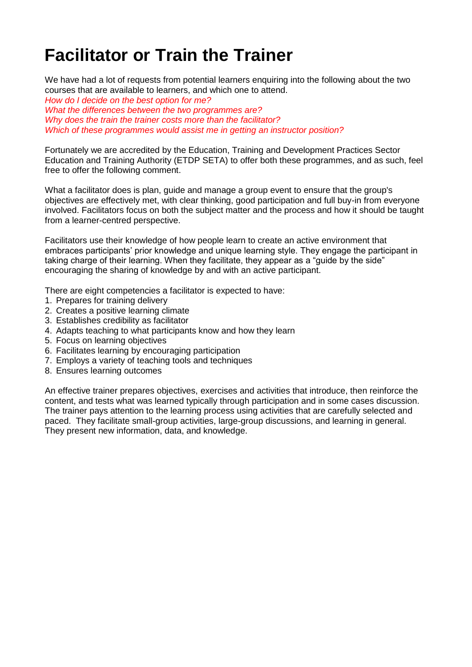## **Facilitator or Train the Trainer**

We have had a lot of requests from potential learners enquiring into the following about the two courses that are available to learners, and which one to attend.

*How do I decide on the best option for me? What the differences between the two programmes are? Why does the train the trainer costs more than the facilitator? Which of these programmes would assist me in getting an instructor position?*

Fortunately we are accredited by the Education, Training and Development Practices Sector Education and Training Authority (ETDP SETA) to offer both these programmes, and as such, feel free to offer the following comment.

What a facilitator does is plan, guide and manage a group event to ensure that the group's objectives are effectively met, with clear thinking, good participation and full buy-in from everyone involved. Facilitators focus on both the subject matter and the process and how it should be taught from a learner-centred perspective.

Facilitators use their knowledge of how people learn to create an active environment that embraces participants' prior knowledge and unique learning style. They engage the participant in taking charge of their learning. When they facilitate, they appear as a "guide by the side" encouraging the sharing of knowledge by and with an active participant.

There are eight competencies a facilitator is expected to have:

- 1. Prepares for training delivery
- 2. Creates a positive learning climate
- 3. Establishes credibility as facilitator
- 4. Adapts teaching to what participants know and how they learn
- 5. Focus on learning objectives
- 6. Facilitates learning by encouraging participation
- 7. Employs a variety of teaching tools and techniques
- 8. Ensures learning outcomes

An effective trainer prepares objectives, exercises and activities that introduce, then reinforce the content, and tests what was learned typically through participation and in some cases discussion. The trainer pays attention to the learning process using activities that are carefully selected and paced. They facilitate small-group activities, large-group discussions, and learning in general. They present new information, data, and knowledge.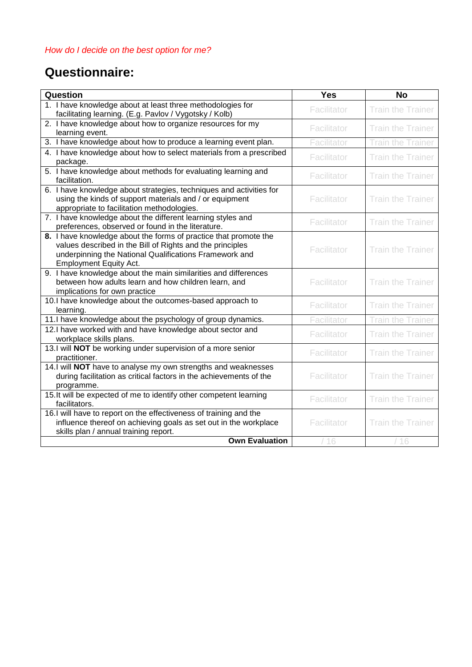## **Questionnaire:**

| Question                                                                                                                                                                                                                 | <b>Yes</b>  | <b>No</b>                |
|--------------------------------------------------------------------------------------------------------------------------------------------------------------------------------------------------------------------------|-------------|--------------------------|
| 1. I have knowledge about at least three methodologies for<br>facilitating learning. (E.g. Pavlov / Vygotsky / Kolb)                                                                                                     | Facilitator | <b>Train the Trainer</b> |
| 2. I have knowledge about how to organize resources for my<br>learning event.                                                                                                                                            | Facilitator | <b>Train the Trainer</b> |
| 3. I have knowledge about how to produce a learning event plan.                                                                                                                                                          | Facilitator | Train the Trainer        |
| 4. I have knowledge about how to select materials from a prescribed<br>package.                                                                                                                                          | Facilitator | <b>Train the Trainer</b> |
| 5. I have knowledge about methods for evaluating learning and<br>facilitation.                                                                                                                                           | Facilitator | <b>Train the Trainer</b> |
| 6. I have knowledge about strategies, techniques and activities for<br>using the kinds of support materials and / or equipment<br>appropriate to facilitation methodologies.                                             | Facilitator | <b>Train the Trainer</b> |
| 7. I have knowledge about the different learning styles and<br>preferences, observed or found in the literature.                                                                                                         | Facilitator | <b>Train the Trainer</b> |
| 8. I have knowledge about the forms of practice that promote the<br>values described in the Bill of Rights and the principles<br>underpinning the National Qualifications Framework and<br><b>Employment Equity Act.</b> | Facilitator | <b>Train the Trainer</b> |
| 9. I have knowledge about the main similarities and differences<br>between how adults learn and how children learn, and<br>implications for own practice                                                                 | Facilitator | <b>Train the Trainer</b> |
| 10.I have knowledge about the outcomes-based approach to<br>learning.                                                                                                                                                    | Facilitator | <b>Train the Trainer</b> |
| 11.I have knowledge about the psychology of group dynamics.                                                                                                                                                              | Facilitator | Train the Trainer        |
| 12.I have worked with and have knowledge about sector and<br>workplace skills plans.                                                                                                                                     | Facilitator | <b>Train the Trainer</b> |
| 13.1 will NOT be working under supervision of a more senior<br>practitioner.                                                                                                                                             | Facilitator | <b>Train the Trainer</b> |
| 14.1 will NOT have to analyse my own strengths and weaknesses<br>during facilitation as critical factors in the achievements of the<br>programme.                                                                        | Facilitator | <b>Train the Trainer</b> |
| 15. It will be expected of me to identify other competent learning<br>facilitators.                                                                                                                                      | Facilitator | <b>Train the Trainer</b> |
| 16.I will have to report on the effectiveness of training and the<br>influence thereof on achieving goals as set out in the workplace<br>skills plan / annual training report.                                           | Facilitator | <b>Train the Trainer</b> |
| <b>Own Evaluation</b>                                                                                                                                                                                                    | /16         | /16                      |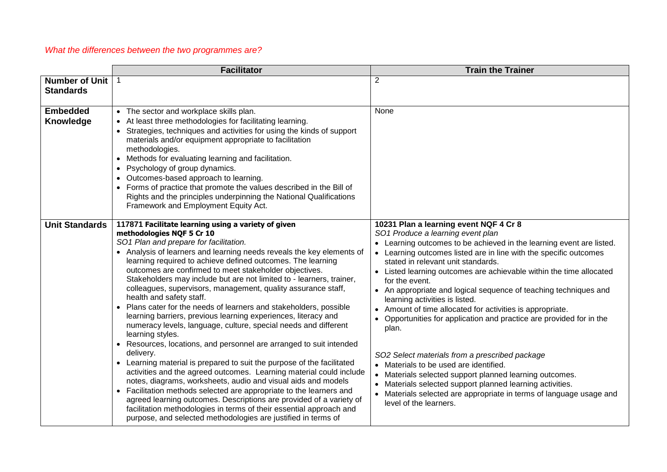## *What the differences between the two programmes are?*

|                                           | <b>Facilitator</b>                                                                                                                                                                                                                                                                                                                                                                                                                                                                                                                                                                                                                                                                                                                                                                                                                                                                                                                                                                                                                                                                                                                                                                                                                                                                                                           | <b>Train the Trainer</b>                                                                                                                                                                                                                                                                                                                                                                                                                                                                                                                                                                                                                                                                                                                                                                                                                                                                                                       |
|-------------------------------------------|------------------------------------------------------------------------------------------------------------------------------------------------------------------------------------------------------------------------------------------------------------------------------------------------------------------------------------------------------------------------------------------------------------------------------------------------------------------------------------------------------------------------------------------------------------------------------------------------------------------------------------------------------------------------------------------------------------------------------------------------------------------------------------------------------------------------------------------------------------------------------------------------------------------------------------------------------------------------------------------------------------------------------------------------------------------------------------------------------------------------------------------------------------------------------------------------------------------------------------------------------------------------------------------------------------------------------|--------------------------------------------------------------------------------------------------------------------------------------------------------------------------------------------------------------------------------------------------------------------------------------------------------------------------------------------------------------------------------------------------------------------------------------------------------------------------------------------------------------------------------------------------------------------------------------------------------------------------------------------------------------------------------------------------------------------------------------------------------------------------------------------------------------------------------------------------------------------------------------------------------------------------------|
| <b>Number of Unit</b><br><b>Standards</b> | $\mathbf{1}$                                                                                                                                                                                                                                                                                                                                                                                                                                                                                                                                                                                                                                                                                                                                                                                                                                                                                                                                                                                                                                                                                                                                                                                                                                                                                                                 | $\overline{2}$                                                                                                                                                                                                                                                                                                                                                                                                                                                                                                                                                                                                                                                                                                                                                                                                                                                                                                                 |
|                                           |                                                                                                                                                                                                                                                                                                                                                                                                                                                                                                                                                                                                                                                                                                                                                                                                                                                                                                                                                                                                                                                                                                                                                                                                                                                                                                                              |                                                                                                                                                                                                                                                                                                                                                                                                                                                                                                                                                                                                                                                                                                                                                                                                                                                                                                                                |
| <b>Embedded</b><br>Knowledge              | • The sector and workplace skills plan.<br>• At least three methodologies for facilitating learning.<br>• Strategies, techniques and activities for using the kinds of support<br>materials and/or equipment appropriate to facilitation<br>methodologies.<br>• Methods for evaluating learning and facilitation.<br>• Psychology of group dynamics.<br>• Outcomes-based approach to learning.<br>• Forms of practice that promote the values described in the Bill of<br>Rights and the principles underpinning the National Qualifications<br>Framework and Employment Equity Act.                                                                                                                                                                                                                                                                                                                                                                                                                                                                                                                                                                                                                                                                                                                                         | None                                                                                                                                                                                                                                                                                                                                                                                                                                                                                                                                                                                                                                                                                                                                                                                                                                                                                                                           |
| <b>Unit Standards</b>                     | 117871 Facilitate learning using a variety of given<br>methodologies NQF 5 Cr 10<br>SO1 Plan and prepare for facilitation.<br>• Analysis of learners and learning needs reveals the key elements of<br>learning required to achieve defined outcomes. The learning<br>outcomes are confirmed to meet stakeholder objectives.<br>Stakeholders may include but are not limited to - learners, trainer,<br>colleagues, supervisors, management, quality assurance staff,<br>health and safety staff.<br>• Plans cater for the needs of learners and stakeholders, possible<br>learning barriers, previous learning experiences, literacy and<br>numeracy levels, language, culture, special needs and different<br>learning styles.<br>• Resources, locations, and personnel are arranged to suit intended<br>delivery.<br>• Learning material is prepared to suit the purpose of the facilitated<br>activities and the agreed outcomes. Learning material could include<br>notes, diagrams, worksheets, audio and visual aids and models<br>• Facilitation methods selected are appropriate to the learners and<br>agreed learning outcomes. Descriptions are provided of a variety of<br>facilitation methodologies in terms of their essential approach and<br>purpose, and selected methodologies are justified in terms of | 10231 Plan a learning event NQF 4 Cr 8<br>SO1 Produce a learning event plan<br>• Learning outcomes to be achieved in the learning event are listed.<br>• Learning outcomes listed are in line with the specific outcomes<br>stated in relevant unit standards.<br>• Listed learning outcomes are achievable within the time allocated<br>for the event.<br>• An appropriate and logical sequence of teaching techniques and<br>learning activities is listed.<br>• Amount of time allocated for activities is appropriate.<br>Opportunities for application and practice are provided for in the<br>plan.<br>SO2 Select materials from a prescribed package<br>• Materials to be used are identified.<br>• Materials selected support planned learning outcomes.<br>• Materials selected support planned learning activities.<br>• Materials selected are appropriate in terms of language usage and<br>level of the learners. |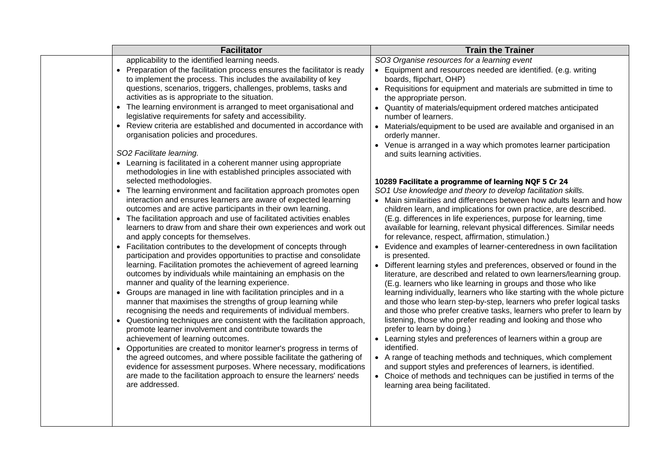| <b>Facilitator</b>                                                                                                                                                                                                                                                                                                                                                                                                                                                                                                                                                                                                                                                                                                                                                                                                                                                                                                                                                                                                                                                                                                                                                                                                                                                                                                                                                                                                                                                                                                                                                                                                                                                                                                                                                                                                                                                                                                                                                                                                                                                                                                                                                                                  | <b>Train the Trainer</b>                                                                                                                                                                                                                                                                                                                                                                                                                                                                                                                                                                                                                                                                                                                                                                                                                                                                                                                                                                                                                                                                                                                                                                                                                                                                                                                                                                                                                                                                                                                                                                                                                                                                                                                                                                                                                                                                                                                                                        |
|-----------------------------------------------------------------------------------------------------------------------------------------------------------------------------------------------------------------------------------------------------------------------------------------------------------------------------------------------------------------------------------------------------------------------------------------------------------------------------------------------------------------------------------------------------------------------------------------------------------------------------------------------------------------------------------------------------------------------------------------------------------------------------------------------------------------------------------------------------------------------------------------------------------------------------------------------------------------------------------------------------------------------------------------------------------------------------------------------------------------------------------------------------------------------------------------------------------------------------------------------------------------------------------------------------------------------------------------------------------------------------------------------------------------------------------------------------------------------------------------------------------------------------------------------------------------------------------------------------------------------------------------------------------------------------------------------------------------------------------------------------------------------------------------------------------------------------------------------------------------------------------------------------------------------------------------------------------------------------------------------------------------------------------------------------------------------------------------------------------------------------------------------------------------------------------------------------|---------------------------------------------------------------------------------------------------------------------------------------------------------------------------------------------------------------------------------------------------------------------------------------------------------------------------------------------------------------------------------------------------------------------------------------------------------------------------------------------------------------------------------------------------------------------------------------------------------------------------------------------------------------------------------------------------------------------------------------------------------------------------------------------------------------------------------------------------------------------------------------------------------------------------------------------------------------------------------------------------------------------------------------------------------------------------------------------------------------------------------------------------------------------------------------------------------------------------------------------------------------------------------------------------------------------------------------------------------------------------------------------------------------------------------------------------------------------------------------------------------------------------------------------------------------------------------------------------------------------------------------------------------------------------------------------------------------------------------------------------------------------------------------------------------------------------------------------------------------------------------------------------------------------------------------------------------------------------------|
| applicability to the identified learning needs.<br>• Preparation of the facilitation process ensures the facilitator is ready<br>to implement the process. This includes the availability of key<br>questions, scenarios, triggers, challenges, problems, tasks and<br>activities as is appropriate to the situation.<br>• The learning environment is arranged to meet organisational and<br>legislative requirements for safety and accessibility.<br>• Review criteria are established and documented in accordance with<br>organisation policies and procedures.<br>SO2 Facilitate learning.<br>• Learning is facilitated in a coherent manner using appropriate<br>methodologies in line with established principles associated with<br>selected methodologies.<br>• The learning environment and facilitation approach promotes open<br>interaction and ensures learners are aware of expected learning<br>outcomes and are active participants in their own learning.<br>• The facilitation approach and use of facilitated activities enables<br>learners to draw from and share their own experiences and work out<br>and apply concepts for themselves.<br>• Facilitation contributes to the development of concepts through<br>participation and provides opportunities to practise and consolidate<br>learning. Facilitation promotes the achievement of agreed learning<br>outcomes by individuals while maintaining an emphasis on the<br>manner and quality of the learning experience.<br>• Groups are managed in line with facilitation principles and in a<br>manner that maximises the strengths of group learning while<br>recognising the needs and requirements of individual members.<br>• Questioning techniques are consistent with the facilitation approach,<br>promote learner involvement and contribute towards the<br>achievement of learning outcomes.<br>• Opportunities are created to monitor learner's progress in terms of<br>the agreed outcomes, and where possible facilitate the gathering of<br>evidence for assessment purposes. Where necessary, modifications<br>are made to the facilitation approach to ensure the learners' needs<br>are addressed. | SO3 Organise resources for a learning event<br>• Equipment and resources needed are identified. (e.g. writing<br>boards, flipchart, OHP)<br>• Requisitions for equipment and materials are submitted in time to<br>the appropriate person.<br>• Quantity of materials/equipment ordered matches anticipated<br>number of learners.<br>• Materials/equipment to be used are available and organised in an<br>orderly manner.<br>• Venue is arranged in a way which promotes learner participation<br>and suits learning activities.<br>10289 Facilitate a programme of learning NQF 5 Cr 24<br>SO1 Use knowledge and theory to develop facilitation skills.<br>• Main similarities and differences between how adults learn and how<br>children learn, and implications for own practice, are described.<br>(E.g. differences in life experiences, purpose for learning, time<br>available for learning, relevant physical differences. Similar needs<br>for relevance, respect, affirmation, stimulation.)<br>Evidence and examples of learner-centeredness in own facilitation<br>is presented.<br>• Different learning styles and preferences, observed or found in the<br>literature, are described and related to own learners/learning group.<br>(E.g. learners who like learning in groups and those who like<br>learning individually, learners who like starting with the whole picture<br>and those who learn step-by-step, learners who prefer logical tasks<br>and those who prefer creative tasks, learners who prefer to learn by<br>listening, those who prefer reading and looking and those who<br>prefer to learn by doing.)<br>• Learning styles and preferences of learners within a group are<br>identified.<br>• A range of teaching methods and techniques, which complement<br>and support styles and preferences of learners, is identified.<br>• Choice of methods and techniques can be justified in terms of the<br>learning area being facilitated. |
|                                                                                                                                                                                                                                                                                                                                                                                                                                                                                                                                                                                                                                                                                                                                                                                                                                                                                                                                                                                                                                                                                                                                                                                                                                                                                                                                                                                                                                                                                                                                                                                                                                                                                                                                                                                                                                                                                                                                                                                                                                                                                                                                                                                                     |                                                                                                                                                                                                                                                                                                                                                                                                                                                                                                                                                                                                                                                                                                                                                                                                                                                                                                                                                                                                                                                                                                                                                                                                                                                                                                                                                                                                                                                                                                                                                                                                                                                                                                                                                                                                                                                                                                                                                                                 |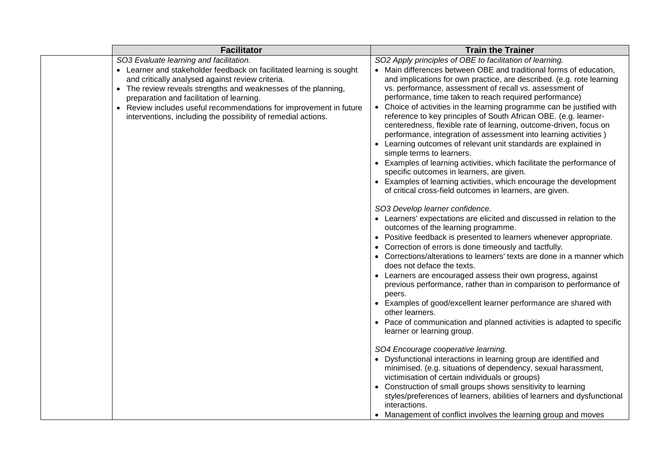| <b>Facilitator</b>                                                                                              | <b>Train the Trainer</b>                                                                                                                                                              |
|-----------------------------------------------------------------------------------------------------------------|---------------------------------------------------------------------------------------------------------------------------------------------------------------------------------------|
| SO3 Evaluate learning and facilitation.                                                                         | SO2 Apply principles of OBE to facilitation of learning.                                                                                                                              |
| • Learner and stakeholder feedback on facilitated learning is sought                                            | • Main differences between OBE and traditional forms of education,                                                                                                                    |
| and critically analysed against review criteria.                                                                | and implications for own practice, are described. (e.g. rote learning                                                                                                                 |
| • The review reveals strengths and weaknesses of the planning,                                                  | vs. performance, assessment of recall vs. assessment of                                                                                                                               |
| preparation and facilitation of learning.<br>• Review includes useful recommendations for improvement in future | performance, time taken to reach required performance)<br>• Choice of activities in the learning programme can be justified with                                                      |
| interventions, including the possibility of remedial actions.                                                   | reference to key principles of South African OBE. (e.g. learner-<br>centeredness, flexible rate of learning, outcome-driven, focus on                                                 |
|                                                                                                                 | performance, integration of assessment into learning activities)                                                                                                                      |
|                                                                                                                 | • Learning outcomes of relevant unit standards are explained in<br>simple terms to learners.                                                                                          |
|                                                                                                                 | • Examples of learning activities, which facilitate the performance of<br>specific outcomes in learners, are given.                                                                   |
|                                                                                                                 | • Examples of learning activities, which encourage the development<br>of critical cross-field outcomes in learners, are given.                                                        |
|                                                                                                                 | SO3 Develop learner confidence.                                                                                                                                                       |
|                                                                                                                 | • Learners' expectations are elicited and discussed in relation to the                                                                                                                |
|                                                                                                                 | outcomes of the learning programme.                                                                                                                                                   |
|                                                                                                                 | • Positive feedback is presented to learners whenever appropriate.<br>Correction of errors is done timeously and tactfully.                                                           |
|                                                                                                                 | • Corrections/alterations to learners' texts are done in a manner which<br>does not deface the texts.                                                                                 |
|                                                                                                                 | • Learners are encouraged assess their own progress, against<br>previous performance, rather than in comparison to performance of<br>peers.                                           |
|                                                                                                                 | • Examples of good/excellent learner performance are shared with<br>other learners.                                                                                                   |
|                                                                                                                 | • Pace of communication and planned activities is adapted to specific<br>learner or learning group.                                                                                   |
|                                                                                                                 | SO4 Encourage cooperative learning.                                                                                                                                                   |
|                                                                                                                 | • Dysfunctional interactions in learning group are identified and<br>minimised. (e.g. situations of dependency, sexual harassment,<br>victimisation of certain individuals or groups) |
|                                                                                                                 | Construction of small groups shows sensitivity to learning                                                                                                                            |
|                                                                                                                 | styles/preferences of learners, abilities of learners and dysfunctional<br>interactions.                                                                                              |
|                                                                                                                 | • Management of conflict involves the learning group and moves                                                                                                                        |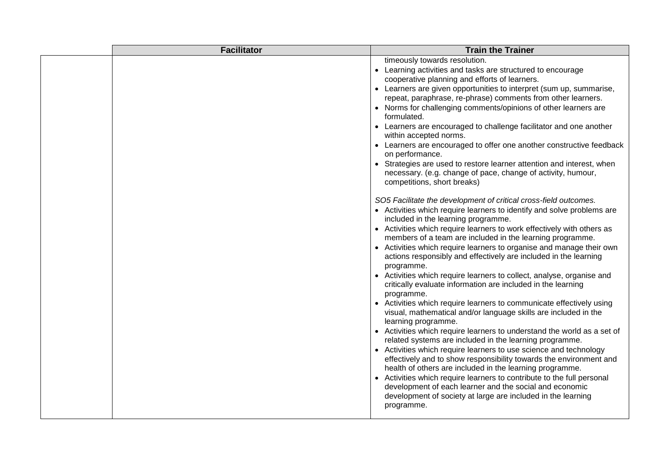| timeously towards resolution.<br>• Learning activities and tasks are structured to encourage<br>cooperative planning and efforts of learners.<br>• Learners are given opportunities to interpret (sum up, summarise,<br>repeat, paraphrase, re-phrase) comments from other learners.<br>• Norms for challenging comments/opinions of other learners are<br>formulated.<br>• Learners are encouraged to challenge facilitator and one another<br>within accepted norms.<br>• Learners are encouraged to offer one another constructive feedback<br>on performance.<br>Strategies are used to restore learner attention and interest, when<br>necessary. (e.g. change of pace, change of activity, humour,<br>competitions, short breaks)<br>SO5 Facilitate the development of critical cross-field outcomes.<br>• Activities which require learners to identify and solve problems are<br>included in the learning programme.<br>• Activities which require learners to work effectively with others as<br>members of a team are included in the learning programme.<br>• Activities which require learners to organise and manage their own<br>actions responsibly and effectively are included in the learning<br>programme.<br>• Activities which require learners to collect, analyse, organise and<br>critically evaluate information are included in the learning<br>programme.<br>• Activities which require learners to communicate effectively using<br>visual, mathematical and/or language skills are included in the<br>learning programme.<br>• Activities which require learners to understand the world as a set of<br>related systems are included in the learning programme.<br>• Activities which require learners to use science and technology<br>effectively and to show responsibility towards the environment and<br>health of others are included in the learning programme.<br>• Activities which require learners to contribute to the full personal<br>development of each learner and the social and economic<br>development of society at large are included in the learning | <b>Facilitator</b> | <b>Train the Trainer</b> |
|----------------------------------------------------------------------------------------------------------------------------------------------------------------------------------------------------------------------------------------------------------------------------------------------------------------------------------------------------------------------------------------------------------------------------------------------------------------------------------------------------------------------------------------------------------------------------------------------------------------------------------------------------------------------------------------------------------------------------------------------------------------------------------------------------------------------------------------------------------------------------------------------------------------------------------------------------------------------------------------------------------------------------------------------------------------------------------------------------------------------------------------------------------------------------------------------------------------------------------------------------------------------------------------------------------------------------------------------------------------------------------------------------------------------------------------------------------------------------------------------------------------------------------------------------------------------------------------------------------------------------------------------------------------------------------------------------------------------------------------------------------------------------------------------------------------------------------------------------------------------------------------------------------------------------------------------------------------------------------------------------------------------------------------------------------------------------------------------------------|--------------------|--------------------------|
|                                                                                                                                                                                                                                                                                                                                                                                                                                                                                                                                                                                                                                                                                                                                                                                                                                                                                                                                                                                                                                                                                                                                                                                                                                                                                                                                                                                                                                                                                                                                                                                                                                                                                                                                                                                                                                                                                                                                                                                                                                                                                                          |                    | programme.               |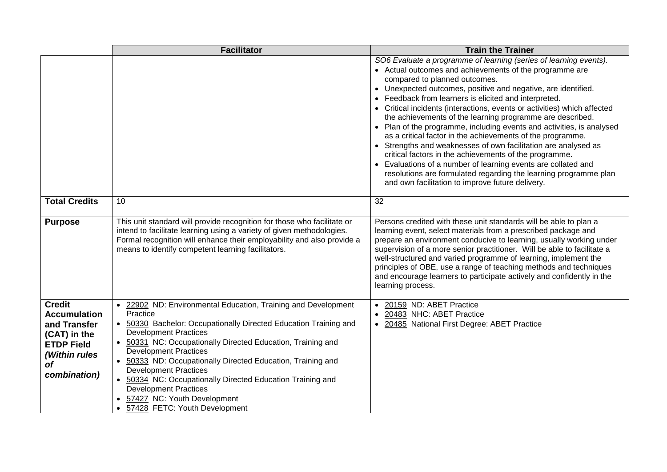|                                                                                                                                         | <b>Facilitator</b>                                                                                                                                                                                                                                                                                                                                                                                                                                                                                                                            | <b>Train the Trainer</b>                                                                                                                                                                                                                                                                                                                                                                                                                                                                                                                                                                                                                                                                                                                                                                                                                                                                   |
|-----------------------------------------------------------------------------------------------------------------------------------------|-----------------------------------------------------------------------------------------------------------------------------------------------------------------------------------------------------------------------------------------------------------------------------------------------------------------------------------------------------------------------------------------------------------------------------------------------------------------------------------------------------------------------------------------------|--------------------------------------------------------------------------------------------------------------------------------------------------------------------------------------------------------------------------------------------------------------------------------------------------------------------------------------------------------------------------------------------------------------------------------------------------------------------------------------------------------------------------------------------------------------------------------------------------------------------------------------------------------------------------------------------------------------------------------------------------------------------------------------------------------------------------------------------------------------------------------------------|
|                                                                                                                                         |                                                                                                                                                                                                                                                                                                                                                                                                                                                                                                                                               | SO6 Evaluate a programme of learning (series of learning events).<br>• Actual outcomes and achievements of the programme are<br>compared to planned outcomes.<br>• Unexpected outcomes, positive and negative, are identified.<br>Feedback from learners is elicited and interpreted.<br>• Critical incidents (interactions, events or activities) which affected<br>the achievements of the learning programme are described.<br>• Plan of the programme, including events and activities, is analysed<br>as a critical factor in the achievements of the programme.<br>• Strengths and weaknesses of own facilitation are analysed as<br>critical factors in the achievements of the programme.<br>• Evaluations of a number of learning events are collated and<br>resolutions are formulated regarding the learning programme plan<br>and own facilitation to improve future delivery. |
| <b>Total Credits</b>                                                                                                                    | 10                                                                                                                                                                                                                                                                                                                                                                                                                                                                                                                                            | 32                                                                                                                                                                                                                                                                                                                                                                                                                                                                                                                                                                                                                                                                                                                                                                                                                                                                                         |
| <b>Purpose</b>                                                                                                                          | This unit standard will provide recognition for those who facilitate or<br>intend to facilitate learning using a variety of given methodologies.<br>Formal recognition will enhance their employability and also provide a<br>means to identify competent learning facilitators.                                                                                                                                                                                                                                                              | Persons credited with these unit standards will be able to plan a<br>learning event, select materials from a prescribed package and<br>prepare an environment conducive to learning, usually working under<br>supervision of a more senior practitioner. Will be able to facilitate a<br>well-structured and varied programme of learning, implement the<br>principles of OBE, use a range of teaching methods and techniques<br>and encourage learners to participate actively and confidently in the<br>learning process.                                                                                                                                                                                                                                                                                                                                                                |
| <b>Credit</b><br><b>Accumulation</b><br>and Transfer<br>(CAT) in the<br><b>ETDP Field</b><br>(Within rules<br><b>of</b><br>combination) | • 22902 ND: Environmental Education, Training and Development<br>Practice<br>• 50330 Bachelor: Occupationally Directed Education Training and<br><b>Development Practices</b><br>• 50331 NC: Occupationally Directed Education, Training and<br><b>Development Practices</b><br>• 50333 ND: Occupationally Directed Education, Training and<br><b>Development Practices</b><br>• 50334 NC: Occupationally Directed Education Training and<br><b>Development Practices</b><br>• 57427 NC: Youth Development<br>• 57428 FETC: Youth Development | • 20159 ND: ABET Practice<br>• 20483 NHC: ABET Practice<br>• 20485 National First Degree: ABET Practice                                                                                                                                                                                                                                                                                                                                                                                                                                                                                                                                                                                                                                                                                                                                                                                    |